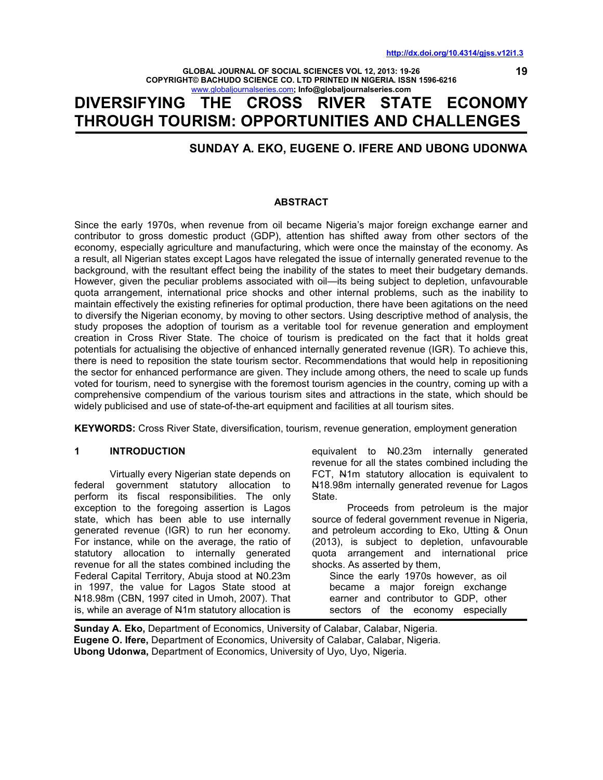**19**

**GLOBAL JOURNAL OF SOCIAL SCIENCES VOL 12, 2013: 19-26 COPYRIGHT© BACHUDO SCIENCE CO. LTD PRINTED IN NIGERIA. ISSN 1596-6216**  www.globaljournalseries.com**; Info@globaljournalseries.com**

# **DIVERSIFYING THE CROSS RIVER STATE ECONOMY THROUGH TOURISM: OPPORTUNITIES AND CHALLENGES**

# **SUNDAY A. EKO, EUGENE O. IFERE AND UBONG UDONWA**

#### **ABSTRACT**

Since the early 1970s, when revenue from oil became Nigeria's major foreign exchange earner and contributor to gross domestic product (GDP), attention has shifted away from other sectors of the economy, especially agriculture and manufacturing, which were once the mainstay of the economy. As a result, all Nigerian states except Lagos have relegated the issue of internally generated revenue to the background, with the resultant effect being the inability of the states to meet their budgetary demands. However, given the peculiar problems associated with oil—its being subject to depletion, unfavourable quota arrangement, international price shocks and other internal problems, such as the inability to maintain effectively the existing refineries for optimal production, there have been agitations on the need to diversify the Nigerian economy, by moving to other sectors. Using descriptive method of analysis, the study proposes the adoption of tourism as a veritable tool for revenue generation and employment creation in Cross River State. The choice of tourism is predicated on the fact that it holds great potentials for actualising the objective of enhanced internally generated revenue (IGR). To achieve this, there is need to reposition the state tourism sector. Recommendations that would help in repositioning the sector for enhanced performance are given. They include among others, the need to scale up funds voted for tourism, need to synergise with the foremost tourism agencies in the country, coming up with a comprehensive compendium of the various tourism sites and attractions in the state, which should be widely publicised and use of state-of-the-art equipment and facilities at all tourism sites.

**KEYWORDS:** Cross River State, diversification, tourism, revenue generation, employment generation

#### **1 INTRODUCTION**

 Virtually every Nigerian state depends on federal government statutory allocation to perform its fiscal responsibilities. The only exception to the foregoing assertion is Lagos state, which has been able to use internally generated revenue (IGR) to run her economy. For instance, while on the average, the ratio of statutory allocation to internally generated revenue for all the states combined including the Federal Capital Territory, Abuja stood at N0.23m in 1997, the value for Lagos State stood at N18.98m (CBN, 1997 cited in Umoh, 2007). That is, while an average of N1m statutory allocation is

equivalent to N0.23m internally generated revenue for all the states combined including the FCT, N1m statutory allocation is equivalent to N18.98m internally generated revenue for Lagos State.

 Proceeds from petroleum is the major source of federal government revenue in Nigeria, and petroleum according to Eko, Utting & Onun (2013), is subject to depletion, unfavourable quota arrangement and international price shocks. As asserted by them,

Since the early 1970s however, as oil became a major foreign exchange earner and contributor to GDP, other sectors of the economy especially

**Sunday A. Eko,** Department of Economics, University of Calabar, Calabar, Nigeria. **Eugene O. Ifere,** Department of Economics, University of Calabar, Calabar, Nigeria. **Ubong Udonwa,** Department of Economics, University of Uyo, Uyo, Nigeria.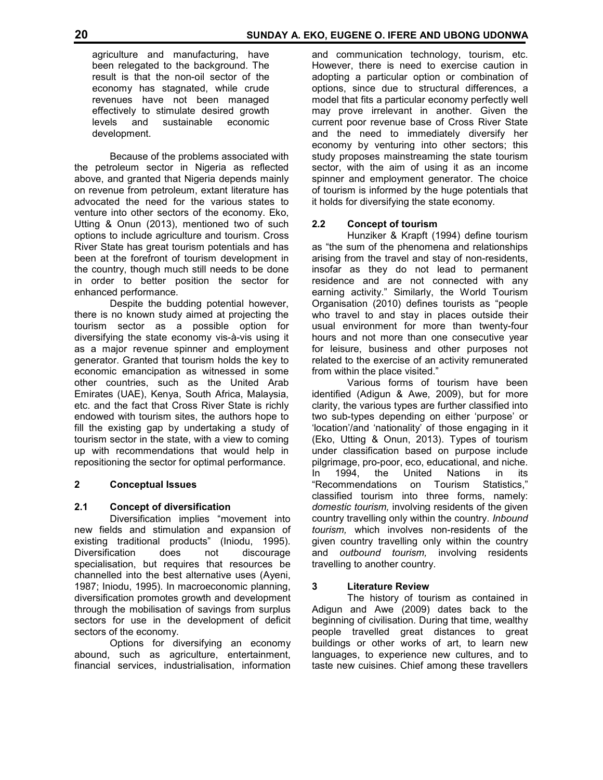agriculture and manufacturing, have been relegated to the background. The result is that the non-oil sector of the economy has stagnated, while crude revenues have not been managed effectively to stimulate desired growth levels and sustainable economic development.

 Because of the problems associated with the petroleum sector in Nigeria as reflected above, and granted that Nigeria depends mainly on revenue from petroleum, extant literature has advocated the need for the various states to venture into other sectors of the economy. Eko, Utting & Onun (2013), mentioned two of such options to include agriculture and tourism. Cross River State has great tourism potentials and has been at the forefront of tourism development in the country, though much still needs to be done in order to better position the sector for enhanced performance.

 Despite the budding potential however, there is no known study aimed at projecting the tourism sector as a possible option for diversifying the state economy vis-à-vis using it as a major revenue spinner and employment generator. Granted that tourism holds the key to economic emancipation as witnessed in some other countries, such as the United Arab Emirates (UAE), Kenya, South Africa, Malaysia, etc. and the fact that Cross River State is richly endowed with tourism sites, the authors hope to fill the existing gap by undertaking a study of tourism sector in the state, with a view to coming up with recommendations that would help in repositioning the sector for optimal performance.

## **2 Conceptual Issues**

## **2.1 Concept of diversification**

 Diversification implies "movement into new fields and stimulation and expansion of existing traditional products" (Iniodu, 1995). Diversification does not discourage specialisation, but requires that resources be channelled into the best alternative uses (Ayeni, 1987; Iniodu, 1995). In macroeconomic planning, diversification promotes growth and development through the mobilisation of savings from surplus sectors for use in the development of deficit sectors of the economy.

 Options for diversifying an economy abound, such as agriculture, entertainment, financial services, industrialisation, information

and communication technology, tourism, etc. However, there is need to exercise caution in adopting a particular option or combination of options, since due to structural differences, a model that fits a particular economy perfectly well may prove irrelevant in another. Given the current poor revenue base of Cross River State and the need to immediately diversify her economy by venturing into other sectors; this study proposes mainstreaming the state tourism sector, with the aim of using it as an income spinner and employment generator. The choice of tourism is informed by the huge potentials that it holds for diversifying the state economy.

## **2.2 Concept of tourism**

 Hunziker & Krapft (1994) define tourism as "the sum of the phenomena and relationships arising from the travel and stay of non-residents, insofar as they do not lead to permanent residence and are not connected with any earning activity." Similarly, the World Tourism Organisation (2010) defines tourists as "people who travel to and stay in places outside their usual environment for more than twenty-four hours and not more than one consecutive year for leisure, business and other purposes not related to the exercise of an activity remunerated from within the place visited."

 Various forms of tourism have been identified (Adigun & Awe, 2009), but for more clarity, the various types are further classified into two sub-types depending on either 'purpose' or 'location'/and 'nationality' of those engaging in it (Eko, Utting & Onun, 2013). Types of tourism under classification based on purpose include pilgrimage, pro-poor, eco, educational, and niche. In 1994, the United Nations in its "Recommendations on Tourism Statistics," classified tourism into three forms, namely: *domestic tourism,* involving residents of the given country travelling only within the country. *Inbound tourism,* which involves non-residents of the given country travelling only within the country and *outbound tourism,* involving residents travelling to another country.

## **3 Literature Review**

 The history of tourism as contained in Adigun and Awe (2009) dates back to the beginning of civilisation. During that time, wealthy people travelled great distances to great buildings or other works of art, to learn new languages, to experience new cultures, and to taste new cuisines. Chief among these travellers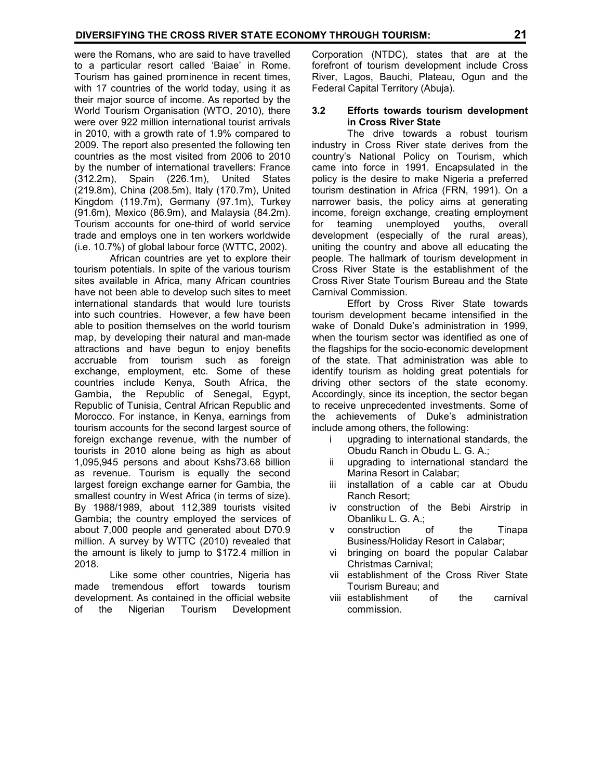were the Romans, who are said to have travelled to a particular resort called 'Baiae' in Rome. Tourism has gained prominence in recent times, with 17 countries of the world today, using it as their major source of income. As reported by the World Tourism Organisation (WTO, 2010), there were over 922 million international tourist arrivals in 2010, with a growth rate of 1.9% compared to 2009. The report also presented the following ten countries as the most visited from 2006 to 2010 by the number of international travellers: France (312.2m), Spain (226.1m), United States (219.8m), China (208.5m), Italy (170.7m), United Kingdom (119.7m), Germany (97.1m), Turkey (91.6m), Mexico (86.9m), and Malaysia (84.2m). Tourism accounts for one-third of world service trade and employs one in ten workers worldwide (i.e. 10.7%) of global labour force (WTTC, 2002).

 African countries are yet to explore their tourism potentials. In spite of the various tourism sites available in Africa, many African countries have not been able to develop such sites to meet international standards that would lure tourists into such countries. However, a few have been able to position themselves on the world tourism map, by developing their natural and man-made attractions and have begun to enjoy benefits accruable from tourism such as foreign exchange, employment, etc. Some of these countries include Kenya, South Africa, the Gambia, the Republic of Senegal, Egypt, Republic of Tunisia, Central African Republic and Morocco. For instance, in Kenya, earnings from tourism accounts for the second largest source of foreign exchange revenue, with the number of tourists in 2010 alone being as high as about 1,095,945 persons and about Kshs73.68 billion as revenue. Tourism is equally the second largest foreign exchange earner for Gambia, the smallest country in West Africa (in terms of size). By 1988/1989, about 112,389 tourists visited Gambia; the country employed the services of about 7,000 people and generated about D70.9 million. A survey by WTTC (2010) revealed that the amount is likely to jump to \$172.4 million in 2018.

 Like some other countries, Nigeria has made tremendous effort towards tourism development. As contained in the official website of the Nigerian Tourism Development

Corporation (NTDC), states that are at the forefront of tourism development include Cross River, Lagos, Bauchi, Plateau, Ogun and the Federal Capital Territory (Abuja).

#### **3.2 Efforts towards tourism development in Cross River State**

 The drive towards a robust tourism industry in Cross River state derives from the country's National Policy on Tourism, which came into force in 1991. Encapsulated in the policy is the desire to make Nigeria a preferred tourism destination in Africa (FRN, 1991). On a narrower basis, the policy aims at generating income, foreign exchange, creating employment<br>for teaming unemployed vouths. overall for teaming unemployed youths, development (especially of the rural areas), uniting the country and above all educating the people. The hallmark of tourism development in Cross River State is the establishment of the Cross River State Tourism Bureau and the State Carnival Commission.

 Effort by Cross River State towards tourism development became intensified in the wake of Donald Duke's administration in 1999, when the tourism sector was identified as one of the flagships for the socio-economic development of the state. That administration was able to identify tourism as holding great potentials for driving other sectors of the state economy. Accordingly, since its inception, the sector began to receive unprecedented investments. Some of the achievements of Duke's administration include among others, the following:

- i upgrading to international standards, the Obudu Ranch in Obudu L. G. A.;
- ii upgrading to international standard the Marina Resort in Calabar;
- iii installation of a cable car at Obudu Ranch Resort;
- iv construction of the Bebi Airstrip in Obanliku L. G. A.;
- v construction of the Tinapa Business/Holiday Resort in Calabar;
- vi bringing on board the popular Calabar Christmas Carnival;
- vii establishment of the Cross River State Tourism Bureau; and
- viii establishment of the carnival commission.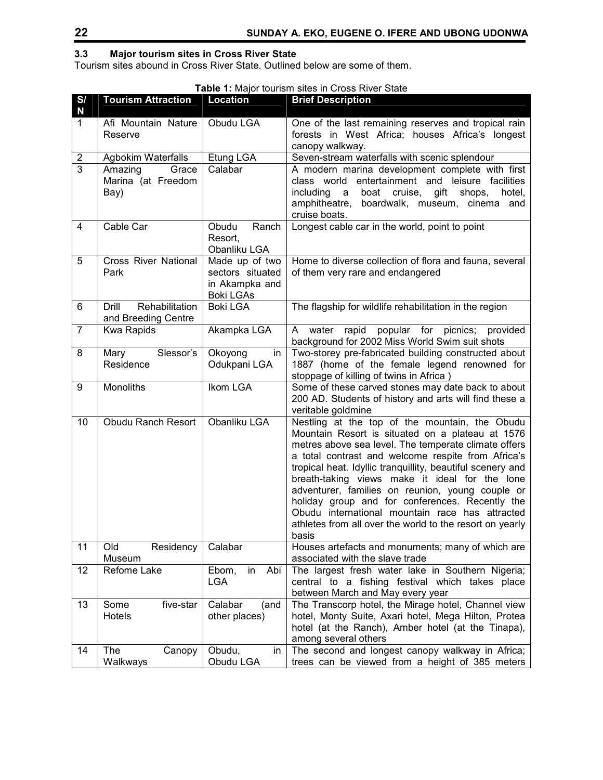# **3.3 Major tourism sites in Cross River State**

Tourism sites abound in Cross River State. Outlined below are some of them.

## **Table 1:** Major tourism sites in Cross River State

| S/<br>N                 | <b>Tourism Attraction</b>                      | Location                                                                 | <b>Brief Description</b>                                                                                                                                                                                                                                                                                                                                                                                                                                                                                                                                        |  |  |  |
|-------------------------|------------------------------------------------|--------------------------------------------------------------------------|-----------------------------------------------------------------------------------------------------------------------------------------------------------------------------------------------------------------------------------------------------------------------------------------------------------------------------------------------------------------------------------------------------------------------------------------------------------------------------------------------------------------------------------------------------------------|--|--|--|
| $\mathbf{1}$            | Afi Mountain Nature<br>Reserve                 | Obudu LGA                                                                | One of the last remaining reserves and tropical rain<br>forests in West Africa; houses Africa's longest<br>canopy walkway.                                                                                                                                                                                                                                                                                                                                                                                                                                      |  |  |  |
| $\overline{\mathbf{c}}$ | Agbokim Waterfalls                             | Etung LGA                                                                | Seven-stream waterfalls with scenic splendour                                                                                                                                                                                                                                                                                                                                                                                                                                                                                                                   |  |  |  |
| $\overline{3}$          | Amazing<br>Grace<br>Marina (at Freedom<br>Bay) | Calabar                                                                  | A modern marina development complete with first<br>entertainment and<br>class world<br>leisure facilities<br>including<br>boat<br>cruise,<br>gift<br>shops,<br>hotel,<br>a<br>amphitheatre, boardwalk, museum, cinema and<br>cruise boats.                                                                                                                                                                                                                                                                                                                      |  |  |  |
| $\overline{\mathbf{4}}$ | Cable Car                                      | Obudu<br>Ranch<br>Resort,<br>Obanliku LGA                                | Longest cable car in the world, point to point                                                                                                                                                                                                                                                                                                                                                                                                                                                                                                                  |  |  |  |
| 5                       | <b>Cross River National</b><br>Park            | Made up of two<br>sectors situated<br>in Akampka and<br><b>Boki LGAs</b> | Home to diverse collection of flora and fauna, several<br>of them very rare and endangered                                                                                                                                                                                                                                                                                                                                                                                                                                                                      |  |  |  |
| 6                       | Rehabilitation<br>Drill<br>and Breeding Centre | <b>Boki LGA</b>                                                          | The flagship for wildlife rehabilitation in the region                                                                                                                                                                                                                                                                                                                                                                                                                                                                                                          |  |  |  |
| $\overline{7}$          | <b>Kwa Rapids</b>                              | Akampka LGA                                                              | popular for picnics;<br>water<br>rapid<br>A<br>provided<br>background for 2002 Miss World Swim suit shots                                                                                                                                                                                                                                                                                                                                                                                                                                                       |  |  |  |
| 8                       | Slessor's<br>Mary                              | Okoyong<br>in                                                            | Two-storey pre-fabricated building constructed about                                                                                                                                                                                                                                                                                                                                                                                                                                                                                                            |  |  |  |
|                         | Residence                                      | Odukpani LGA                                                             | 1887 (home of the female legend renowned for<br>stoppage of killing of twins in Africa)                                                                                                                                                                                                                                                                                                                                                                                                                                                                         |  |  |  |
| 9                       | Monoliths                                      | Ikom LGA                                                                 | Some of these carved stones may date back to about<br>200 AD. Students of history and arts will find these a<br>veritable goldmine                                                                                                                                                                                                                                                                                                                                                                                                                              |  |  |  |
| 10                      | <b>Obudu Ranch Resort</b>                      | Obanliku LGA                                                             | Nestling at the top of the mountain, the Obudu<br>Mountain Resort is situated on a plateau at 1576<br>metres above sea level. The temperate climate offers<br>a total contrast and welcome respite from Africa's<br>tropical heat. Idyllic tranquillity, beautiful scenery and<br>breath-taking views make it ideal for the lone<br>adventurer, families on reunion, young couple or<br>holiday group and for conferences. Recently the<br>Obudu international mountain race has attracted<br>athletes from all over the world to the resort on yearly<br>basis |  |  |  |
| 11                      | Old<br>Residency<br>Museum                     | Calabar                                                                  | Houses artefacts and monuments; many of which are<br>associated with the slave trade                                                                                                                                                                                                                                                                                                                                                                                                                                                                            |  |  |  |
| 12                      | Refome Lake                                    | Abi<br>in<br>Ebom,<br><b>LGA</b>                                         | The largest fresh water lake in Southern Nigeria;<br>central to a fishing festival which takes place<br>between March and May every year                                                                                                                                                                                                                                                                                                                                                                                                                        |  |  |  |
| 13                      | five-star<br>Some<br>Hotels                    | Calabar<br>(and<br>other places)                                         | The Transcorp hotel, the Mirage hotel, Channel view<br>hotel, Monty Suite, Axari hotel, Mega Hilton, Protea<br>hotel (at the Ranch), Amber hotel (at the Tinapa),<br>among several others                                                                                                                                                                                                                                                                                                                                                                       |  |  |  |
| 14                      | The<br>Canopy<br>Walkways                      | Obudu,<br>in<br>Obudu LGA                                                | The second and longest canopy walkway in Africa;<br>trees can be viewed from a height of 385 meters                                                                                                                                                                                                                                                                                                                                                                                                                                                             |  |  |  |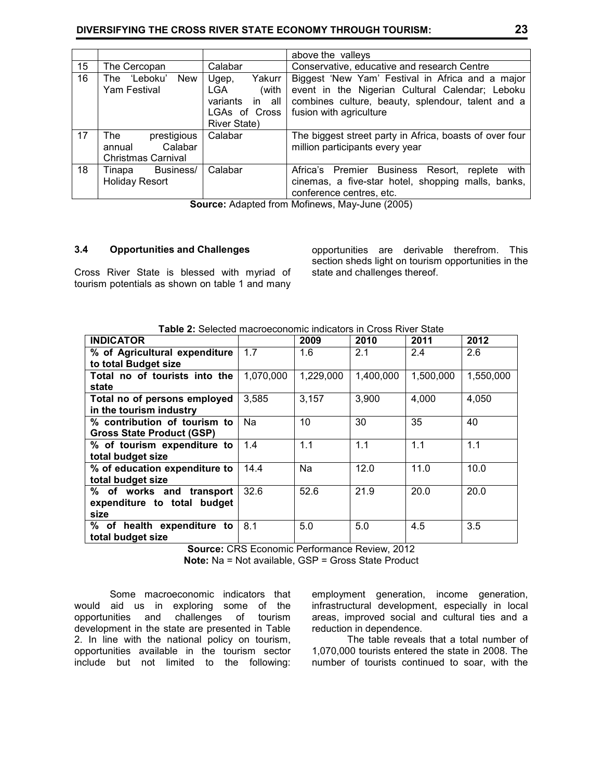|    |                                                                      |                                                                                                  | above the valleys                                                                                                                                                                   |  |  |  |
|----|----------------------------------------------------------------------|--------------------------------------------------------------------------------------------------|-------------------------------------------------------------------------------------------------------------------------------------------------------------------------------------|--|--|--|
| 15 | The Cercopan                                                         | Calabar                                                                                          | Conservative, educative and research Centre                                                                                                                                         |  |  |  |
| 16 | 'Leboku'<br><b>New</b><br>The<br>Yam Festival                        | Yakurr I<br>Ugep,<br>(with<br>LGA.<br>variants<br>in all<br>LGAs of Cross<br><b>River State)</b> | Biggest 'New Yam' Festival in Africa and a major<br>event in the Nigerian Cultural Calendar; Leboku<br>combines culture, beauty, splendour, talent and a<br>fusion with agriculture |  |  |  |
| 17 | prestigious<br>The<br>Calabar<br>annual<br><b>Christmas Carnival</b> | Calabar                                                                                          | The biggest street party in Africa, boasts of over four<br>million participants every year                                                                                          |  |  |  |
| 18 | Business/<br>Tinapa<br><b>Holiday Resort</b>                         | Calabar                                                                                          | Africa's Premier Business Resort,<br>with<br>replete<br>cinemas, a five-star hotel, shopping malls, banks,<br>conference centres, etc.                                              |  |  |  |

**Source:** Adapted from Mofinews, May-June (2005)

#### **3.4 Opportunities and Challenges**

Cross River State is blessed with myriad of tourism potentials as shown on table 1 and many opportunities are derivable therefrom. This section sheds light on tourism opportunities in the state and challenges thereof.

| <b>INDICATOR</b>                 |           | 2009      | 2010      | 2011      | 2012      |
|----------------------------------|-----------|-----------|-----------|-----------|-----------|
| % of Agricultural expenditure    | 1.7       | 1.6       | 2.1       | 2.4       | 2.6       |
| to total Budget size             |           |           |           |           |           |
| Total no of tourists into the    | 1,070,000 | 1,229,000 | 1,400,000 | 1,500,000 | 1,550,000 |
| state                            |           |           |           |           |           |
| Total no of persons employed     | 3,585     | 3,157     | 3,900     | 4,000     | 4,050     |
| in the tourism industry          |           |           |           |           |           |
| % contribution of tourism to     | Na        | 10        | 30        | 35        | 40        |
| <b>Gross State Product (GSP)</b> |           |           |           |           |           |
| % of tourism expenditure to      | 1.4       | 1.1       | 1.1       | 1.1       | 1.1       |
| total budget size                |           |           |           |           |           |
| % of education expenditure to    | 14.4      | Na        | 12.0      | 11.0      | 10.0      |
| total budget size                |           |           |           |           |           |
| % of works and transport         | 32.6      | 52.6      | 21.9      | 20.0      | 20.0      |
| expenditure to total budget      |           |           |           |           |           |
| size                             |           |           |           |           |           |
| % of health expenditure to       | 8.1       | 5.0       | 5.0       | 4.5       | 3.5       |
| total budget size                |           |           |           |           |           |

**Table 2:** Selected macroeconomic indicators in Cross River State

**Source:** CRS Economic Performance Review, 2012 **Note:** Na = Not available, GSP = Gross State Product

 Some macroeconomic indicators that would aid us in exploring some of the opportunities and challenges of tourism development in the state are presented in Table 2. In line with the national policy on tourism, opportunities available in the tourism sector include but not limited to the following:

employment generation, income generation, infrastructural development, especially in local areas, improved social and cultural ties and a reduction in dependence.

 The table reveals that a total number of 1,070,000 tourists entered the state in 2008. The number of tourists continued to soar, with the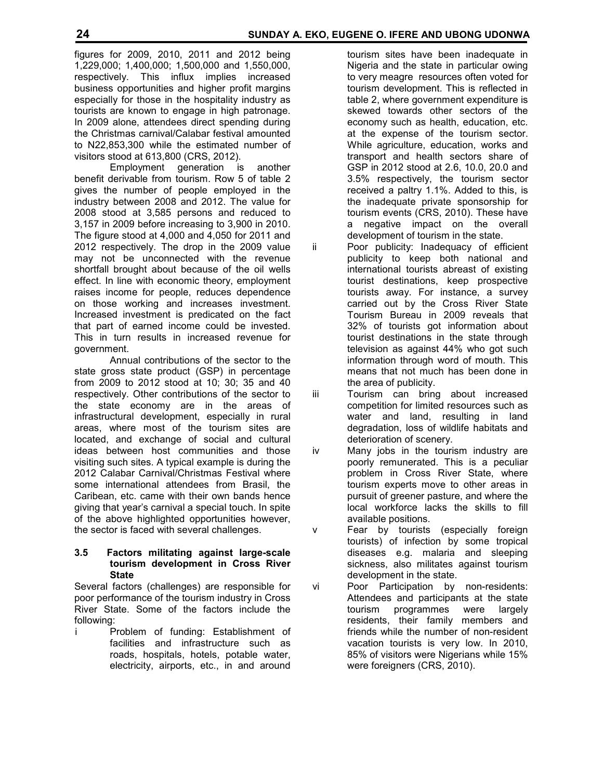figures for 2009, 2010, 2011 and 2012 being 1,229,000; 1,400,000; 1,500,000 and 1,550,000, respectively. This influx implies increased business opportunities and higher profit margins especially for those in the hospitality industry as tourists are known to engage in high patronage. In 2009 alone, attendees direct spending during the Christmas carnival/Calabar festival amounted to N22,853,300 while the estimated number of visitors stood at 613,800 (CRS, 2012).

 Employment generation is another benefit derivable from tourism. Row 5 of table 2 gives the number of people employed in the industry between 2008 and 2012. The value for 2008 stood at 3,585 persons and reduced to 3,157 in 2009 before increasing to 3,900 in 2010. The figure stood at 4,000 and 4,050 for 2011 and 2012 respectively. The drop in the 2009 value may not be unconnected with the revenue shortfall brought about because of the oil wells effect. In line with economic theory, employment raises income for people, reduces dependence on those working and increases investment. Increased investment is predicated on the fact that part of earned income could be invested. This in turn results in increased revenue for government.

 Annual contributions of the sector to the state gross state product (GSP) in percentage from 2009 to 2012 stood at 10; 30; 35 and 40 respectively. Other contributions of the sector to the state economy are in the areas of infrastructural development, especially in rural areas, where most of the tourism sites are located, and exchange of social and cultural ideas between host communities and those visiting such sites. A typical example is during the 2012 Calabar Carnival/Christmas Festival where some international attendees from Brasil, the Caribean, etc. came with their own bands hence giving that year's carnival a special touch. In spite of the above highlighted opportunities however, the sector is faced with several challenges.

**3.5 Factors militating against large-scale tourism development in Cross River State** 

Several factors (challenges) are responsible for poor performance of the tourism industry in Cross River State. Some of the factors include the following:

i Problem of funding: Establishment of facilities and infrastructure such as roads, hospitals, hotels, potable water, electricity, airports, etc., in and around  tourism sites have been inadequate in Nigeria and the state in particular owing to very meagre resources often voted for tourism development. This is reflected in table 2, where government expenditure is skewed towards other sectors of the economy such as health, education, etc. at the expense of the tourism sector. While agriculture, education, works and transport and health sectors share of GSP in 2012 stood at 2.6, 10.0, 20.0 and 3.5% respectively, the tourism sector received a paltry 1.1%. Added to this, is the inadequate private sponsorship for tourism events (CRS, 2010). These have a negative impact on the overall development of tourism in the state.

ii Poor publicity: Inadequacy of efficient publicity to keep both national and international tourists abreast of existing tourist destinations, keep prospective tourists away. For instance, a survey carried out by the Cross River State Tourism Bureau in 2009 reveals that 32% of tourists got information about tourist destinations in the state through television as against 44% who got such information through word of mouth. This means that not much has been done in the area of publicity.

iii Tourism can bring about increased competition for limited resources such as water and land, resulting in land degradation, loss of wildlife habitats and deterioration of scenery.

iv Many jobs in the tourism industry are poorly remunerated. This is a peculiar problem in Cross River State, where tourism experts move to other areas in pursuit of greener pasture, and where the local workforce lacks the skills to fill available positions.

v Fear by tourists (especially foreign tourists) of infection by some tropical diseases e.g. malaria and sleeping sickness, also militates against tourism development in the state.

vi Poor Participation by non-residents: Attendees and participants at the state tourism programmes were largely residents, their family members and friends while the number of non-resident vacation tourists is very low. In 2010, 85% of visitors were Nigerians while 15% were foreigners (CRS, 2010).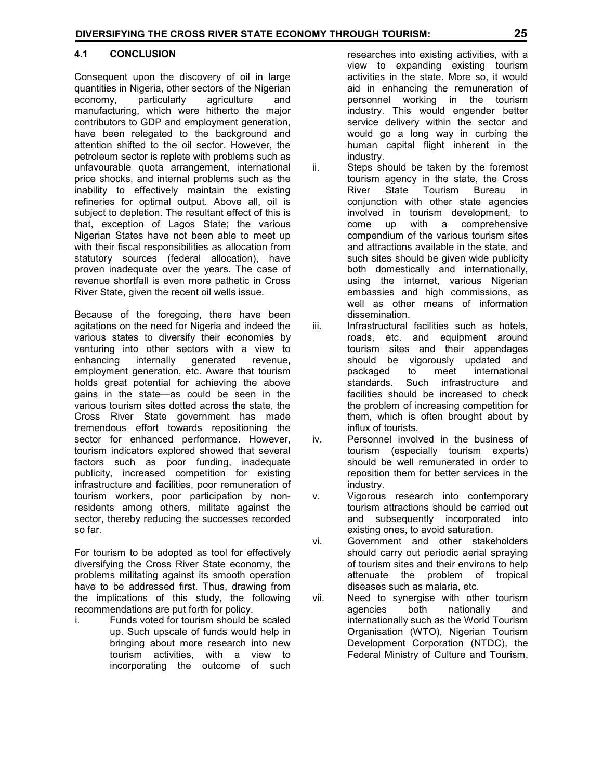## **4.1 CONCLUSION**

Consequent upon the discovery of oil in large quantities in Nigeria, other sectors of the Nigerian economy, particularly agriculture and manufacturing, which were hitherto the major contributors to GDP and employment generation, have been relegated to the background and attention shifted to the oil sector. However, the petroleum sector is replete with problems such as unfavourable quota arrangement, international price shocks, and internal problems such as the inability to effectively maintain the existing refineries for optimal output. Above all, oil is subject to depletion. The resultant effect of this is that, exception of Lagos State; the various Nigerian States have not been able to meet up with their fiscal responsibilities as allocation from statutory sources (federal allocation), have proven inadequate over the years. The case of revenue shortfall is even more pathetic in Cross River State, given the recent oil wells issue.

Because of the foregoing, there have been agitations on the need for Nigeria and indeed the various states to diversify their economies by venturing into other sectors with a view to enhancing internally generated revenue, employment generation, etc. Aware that tourism holds great potential for achieving the above gains in the state—as could be seen in the various tourism sites dotted across the state, the Cross River State government has made tremendous effort towards repositioning the sector for enhanced performance. However, tourism indicators explored showed that several factors such as poor funding, inadequate publicity, increased competition for existing infrastructure and facilities, poor remuneration of tourism workers, poor participation by nonresidents among others, militate against the sector, thereby reducing the successes recorded so far.

For tourism to be adopted as tool for effectively diversifying the Cross River State economy, the problems militating against its smooth operation have to be addressed first. Thus, drawing from the implications of this study, the following recommendations are put forth for policy.

i. Funds voted for tourism should be scaled up. Such upscale of funds would help in bringing about more research into new tourism activities, with a view to incorporating the outcome of such  researches into existing activities, with a view to expanding existing tourism activities in the state. More so, it would aid in enhancing the remuneration of personnel working in the tourism industry. This would engender better service delivery within the sector and would go a long way in curbing the human capital flight inherent in the industry.

- ii. Steps should be taken by the foremost tourism agency in the state, the Cross River State Tourism Bureau in conjunction with other state agencies involved in tourism development, to come up with a comprehensive compendium of the various tourism sites and attractions available in the state, and such sites should be given wide publicity both domestically and internationally, using the internet, various Nigerian embassies and high commissions, as well as other means of information dissemination.
- iii. Infrastructural facilities such as hotels, roads, etc. and equipment around tourism sites and their appendages should be vigorously updated and packaged to meet international standards. Such infrastructure and facilities should be increased to check the problem of increasing competition for them, which is often brought about by influx of tourists.
- iv. Personnel involved in the business of tourism (especially tourism experts) should be well remunerated in order to reposition them for better services in the industry.
- v. Vigorous research into contemporary tourism attractions should be carried out and subsequently incorporated into existing ones, to avoid saturation.
- vi. Government and other stakeholders should carry out periodic aerial spraying of tourism sites and their environs to help attenuate the problem of tropical diseases such as malaria, etc.
- vii. Need to synergise with other tourism agencies both nationally and internationally such as the World Tourism Organisation (WTO), Nigerian Tourism Development Corporation (NTDC), the Federal Ministry of Culture and Tourism,